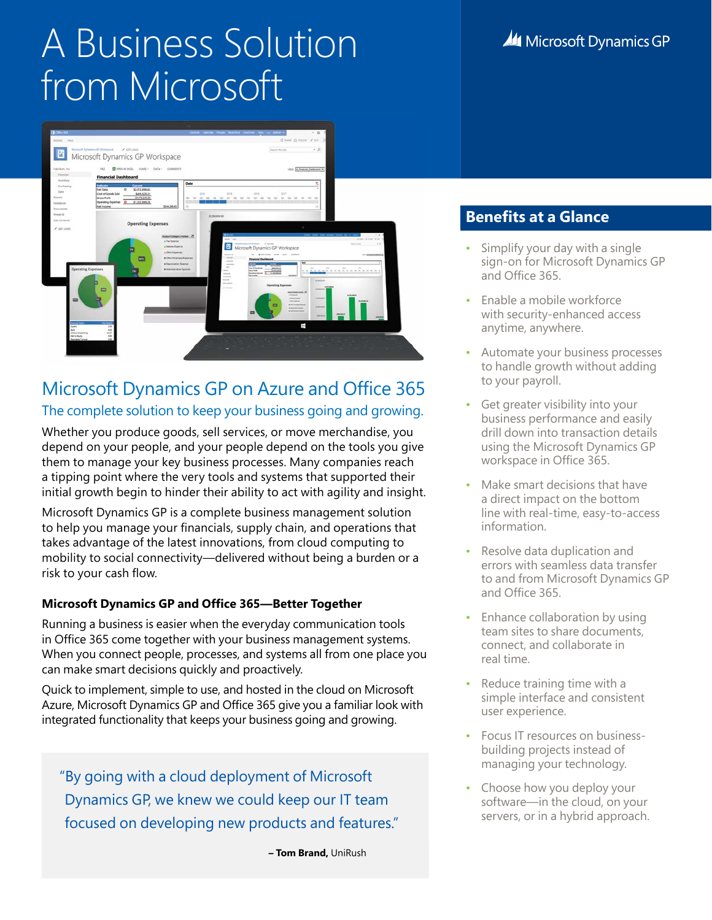# A Business Solution from Microsoft



### Microsoft Dynamics GP on Azure and Office 365 The complete solution to keep your business going and growing.

Whether you produce goods, sell services, or move merchandise, you depend on your people, and your people depend on the tools you give them to manage your key business processes. Many companies reach a tipping point where the very tools and systems that supported their initial growth begin to hinder their ability to act with agility and insight.

Microsoft Dynamics GP is a complete business management solution to help you manage your financials, supply chain, and operations that takes advantage of the latest innovations, from cloud computing to mobility to social connectivity—delivered without being a burden or a risk to your cash flow.

### **Microsoft Dynamics GP and Office 365—Better Together**

Running a business is easier when the everyday communication tools in Office 365 come together with your business management systems. When you connect people, processes, and systems all from one place you can make smart decisions quickly and proactively.

Quick to implement, simple to use, and hosted in the cloud on Microsoft Azure, Microsoft Dynamics GP and Office 365 give you a familiar look with integrated functionality that keeps your business going and growing.

"By going with a cloud deployment of Microsoft Dynamics GP, we knew we could keep our IT team focused on developing new products and features."

**– Tom Brand,** UniRush

### **Benefits at a Glance**

- Simplify your day with a single sign-on for Microsoft Dynamics GP and Office 365.
- Enable a mobile workforce with security-enhanced access anytime, anywhere.
- Automate your business processes to handle growth without adding to your payroll.
- Get greater visibility into your business performance and easily drill down into transaction details using the Microsoft Dynamics GP workspace in Office 365.
- Make smart decisions that have a direct impact on the bottom line with real-time, easy-to-access information.
- Resolve data duplication and errors with seamless data transfer to and from Microsoft Dynamics GP and Office 365.
- Enhance collaboration by using team sites to share documents, connect, and collaborate in real time.
- Reduce training time with a simple interface and consistent user experience.
- Focus IT resources on businessbuilding projects instead of managing your technology.
- Choose how you deploy your software—in the cloud, on your servers, or in a hybrid approach.